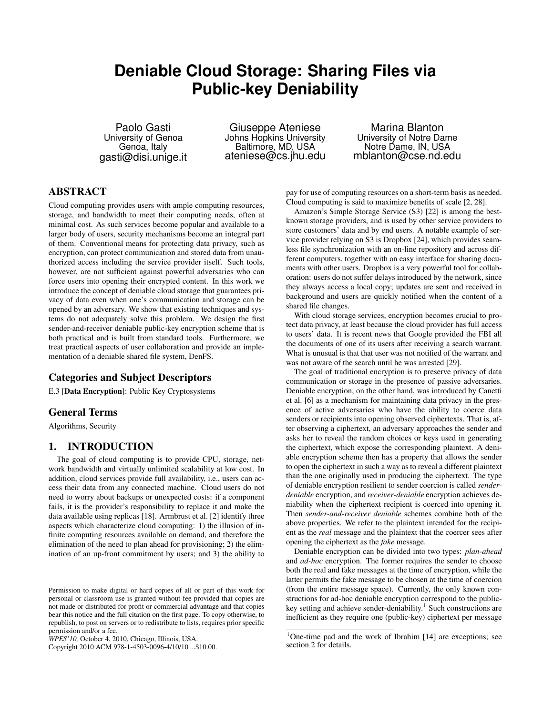# **Deniable Cloud Storage: Sharing Files via Public-key Deniability**

Paolo Gasti University of Genoa Genoa, Italy gasti@disi.unige.it

Giuseppe Ateniese Johns Hopkins University Baltimore, MD, USA ateniese@cs.jhu.edu

Marina Blanton University of Notre Dame Notre Dame, IN, USA mblanton@cse.nd.edu

## ABSTRACT

Cloud computing provides users with ample computing resources, storage, and bandwidth to meet their computing needs, often at minimal cost. As such services become popular and available to a larger body of users, security mechanisms become an integral part of them. Conventional means for protecting data privacy, such as encryption, can protect communication and stored data from unauthorized access including the service provider itself. Such tools, however, are not sufficient against powerful adversaries who can force users into opening their encrypted content. In this work we introduce the concept of deniable cloud storage that guarantees privacy of data even when one's communication and storage can be opened by an adversary. We show that existing techniques and systems do not adequately solve this problem. We design the first sender-and-receiver deniable public-key encryption scheme that is both practical and is built from standard tools. Furthermore, we treat practical aspects of user collaboration and provide an implementation of a deniable shared file system, DenFS.

## Categories and Subject Descriptors

E.3 [Data Encryption]: Public Key Cryptosystems

#### General Terms

Algorithms, Security

## 1. INTRODUCTION

The goal of cloud computing is to provide CPU, storage, network bandwidth and virtually unlimited scalability at low cost. In addition, cloud services provide full availability, i.e., users can access their data from any connected machine. Cloud users do not need to worry about backups or unexpected costs: if a component fails, it is the provider's responsibility to replace it and make the data available using replicas [18]. Armbrust et al. [2] identify three aspects which characterize cloud computing: 1) the illusion of infinite computing resources available on demand, and therefore the elimination of the need to plan ahead for provisioning; 2) the elimination of an up-front commitment by users; and 3) the ability to

Copyright 2010 ACM 978-1-4503-0096-4/10/10 ...\$10.00.

pay for use of computing resources on a short-term basis as needed. Cloud computing is said to maximize benefits of scale [2, 28].

Amazon's Simple Storage Service (S3) [22] is among the bestknown storage providers, and is used by other service providers to store customers' data and by end users. A notable example of service provider relying on S3 is Dropbox [24], which provides seamless file synchronization with an on-line repository and across different computers, together with an easy interface for sharing documents with other users. Dropbox is a very powerful tool for collaboration: users do not suffer delays introduced by the network, since they always access a local copy; updates are sent and received in background and users are quickly notified when the content of a shared file changes.

With cloud storage services, encryption becomes crucial to protect data privacy, at least because the cloud provider has full access to users' data. It is recent news that Google provided the FBI all the documents of one of its users after receiving a search warrant. What is unusual is that that user was not notified of the warrant and was not aware of the search until he was arrested [29].

The goal of traditional encryption is to preserve privacy of data communication or storage in the presence of passive adversaries. Deniable encryption, on the other hand, was introduced by Canetti et al. [6] as a mechanism for maintaining data privacy in the presence of active adversaries who have the ability to coerce data senders or recipients into opening observed ciphertexts. That is, after observing a ciphertext, an adversary approaches the sender and asks her to reveal the random choices or keys used in generating the ciphertext, which expose the corresponding plaintext. A deniable encryption scheme then has a property that allows the sender to open the ciphertext in such a way as to reveal a different plaintext than the one originally used in producing the ciphertext. The type of deniable encryption resilient to sender coercion is called *senderdeniable* encryption, and *receiver-deniable* encryption achieves deniability when the ciphertext recipient is coerced into opening it. Then *sender-and-receiver deniable* schemes combine both of the above properties. We refer to the plaintext intended for the recipient as the *real* message and the plaintext that the coercer sees after opening the ciphertext as the *fake* message.

Deniable encryption can be divided into two types: *plan-ahead* and *ad-hoc* encryption. The former requires the sender to choose both the real and fake messages at the time of encryption, while the latter permits the fake message to be chosen at the time of coercion (from the entire message space). Currently, the only known constructions for ad-hoc deniable encryption correspond to the publickey setting and achieve sender-deniability.<sup>1</sup> Such constructions are inefficient as they require one (public-key) ciphertext per message

Permission to make digital or hard copies of all or part of this work for personal or classroom use is granted without fee provided that copies are not made or distributed for profit or commercial advantage and that copies bear this notice and the full citation on the first page. To copy otherwise, to republish, to post on servers or to redistribute to lists, requires prior specific permission and/or a fee.

*WPES'10,* October 4, 2010, Chicago, Illinois, USA.

 $1$ One-time pad and the work of Ibrahim [14] are exceptions; see section 2 for details.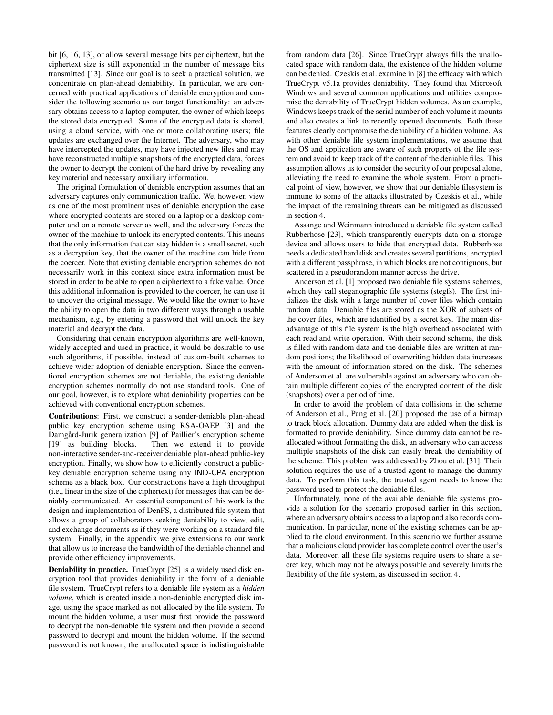bit [6, 16, 13], or allow several message bits per ciphertext, but the ciphertext size is still exponential in the number of message bits transmitted [13]. Since our goal is to seek a practical solution, we concentrate on plan-ahead deniability. In particular, we are concerned with practical applications of deniable encryption and consider the following scenario as our target functionality: an adversary obtains access to a laptop computer, the owner of which keeps the stored data encrypted. Some of the encrypted data is shared, using a cloud service, with one or more collaborating users; file updates are exchanged over the Internet. The adversary, who may have intercepted the updates, may have injected new files and may have reconstructed multiple snapshots of the encrypted data, forces the owner to decrypt the content of the hard drive by revealing any key material and necessary auxiliary information.

The original formulation of deniable encryption assumes that an adversary captures only communication traffic. We, however, view as one of the most prominent uses of deniable encryption the case where encrypted contents are stored on a laptop or a desktop computer and on a remote server as well, and the adversary forces the owner of the machine to unlock its encrypted contents. This means that the only information that can stay hidden is a small secret, such as a decryption key, that the owner of the machine can hide from the coercer. Note that existing deniable encryption schemes do not necessarily work in this context since extra information must be stored in order to be able to open a ciphertext to a fake value. Once this additional information is provided to the coercer, he can use it to uncover the original message. We would like the owner to have the ability to open the data in two different ways through a usable mechanism, e.g., by entering a password that will unlock the key material and decrypt the data.

Considering that certain encryption algorithms are well-known, widely accepted and used in practice, it would be desirable to use such algorithms, if possible, instead of custom-built schemes to achieve wider adoption of deniable encryption. Since the conventional encryption schemes are not deniable, the existing deniable encryption schemes normally do not use standard tools. One of our goal, however, is to explore what deniability properties can be achieved with conventional encryption schemes.

Contributions: First, we construct a sender-deniable plan-ahead public key encryption scheme using RSA-OAEP [3] and the Damgård-Jurik generalization [9] of Paillier's encryption scheme [19] as building blocks. Then we extend it to provide non-interactive sender-and-receiver deniable plan-ahead public-key encryption. Finally, we show how to efficiently construct a publickey deniable encryption scheme using any IND-CPA encryption scheme as a black box. Our constructions have a high throughput (i.e., linear in the size of the ciphertext) for messages that can be deniably communicated. An essential component of this work is the design and implementation of DenFS, a distributed file system that allows a group of collaborators seeking deniability to view, edit, and exchange documents as if they were working on a standard file system. Finally, in the appendix we give extensions to our work that allow us to increase the bandwidth of the deniable channel and provide other efficiency improvements.

Deniability in practice. TrueCrypt [25] is a widely used disk encryption tool that provides deniability in the form of a deniable file system. TrueCrypt refers to a deniable file system as a *hidden volume*, which is created inside a non-deniable encrypted disk image, using the space marked as not allocated by the file system. To mount the hidden volume, a user must first provide the password to decrypt the non-deniable file system and then provide a second password to decrypt and mount the hidden volume. If the second password is not known, the unallocated space is indistinguishable from random data [26]. Since TrueCrypt always fills the unallocated space with random data, the existence of the hidden volume can be denied. Czeskis et al. examine in [8] the efficacy with which TrueCrypt v5.1a provides deniability. They found that Microsoft Windows and several common applications and utilities compromise the deniability of TrueCrypt hidden volumes. As an example, Windows keeps track of the serial number of each volume it mounts and also creates a link to recently opened documents. Both these features clearly compromise the deniability of a hidden volume. As with other deniable file system implementations, we assume that the OS and application are aware of such property of the file system and avoid to keep track of the content of the deniable files. This assumption allows us to consider the security of our proposal alone, alleviating the need to examine the whole system. From a practical point of view, however, we show that our deniable filesystem is immune to some of the attacks illustrated by Czeskis et al., while the impact of the remaining threats can be mitigated as discussed in section 4.

Assange and Weinmann introduced a deniable file system called Rubberhose [23], which transparently encrypts data on a storage device and allows users to hide that encrypted data. Rubberhose needs a dedicated hard disk and creates several partitions, encrypted with a different passphrase, in which blocks are not contiguous, but scattered in a pseudorandom manner across the drive.

Anderson et al. [1] proposed two deniable file systems schemes, which they call steganographic file systems (stegfs). The first initializes the disk with a large number of cover files which contain random data. Deniable files are stored as the XOR of subsets of the cover files, which are identified by a secret key. The main disadvantage of this file system is the high overhead associated with each read and write operation. With their second scheme, the disk is filled with random data and the deniable files are written at random positions; the likelihood of overwriting hidden data increases with the amount of information stored on the disk. The schemes of Anderson et al. are vulnerable against an adversary who can obtain multiple different copies of the encrypted content of the disk (snapshots) over a period of time.

In order to avoid the problem of data collisions in the scheme of Anderson et al., Pang et al. [20] proposed the use of a bitmap to track block allocation. Dummy data are added when the disk is formatted to provide deniability. Since dummy data cannot be reallocated without formatting the disk, an adversary who can access multiple snapshots of the disk can easily break the deniability of the scheme. This problem was addressed by Zhou et al. [31]. Their solution requires the use of a trusted agent to manage the dummy data. To perform this task, the trusted agent needs to know the password used to protect the deniable files.

Unfortunately, none of the available deniable file systems provide a solution for the scenario proposed earlier in this section, where an adversary obtains access to a laptop and also records communication. In particular, none of the existing schemes can be applied to the cloud environment. In this scenario we further assume that a malicious cloud provider has complete control over the user's data. Moreover, all these file systems require users to share a secret key, which may not be always possible and severely limits the flexibility of the file system, as discussed in section 4.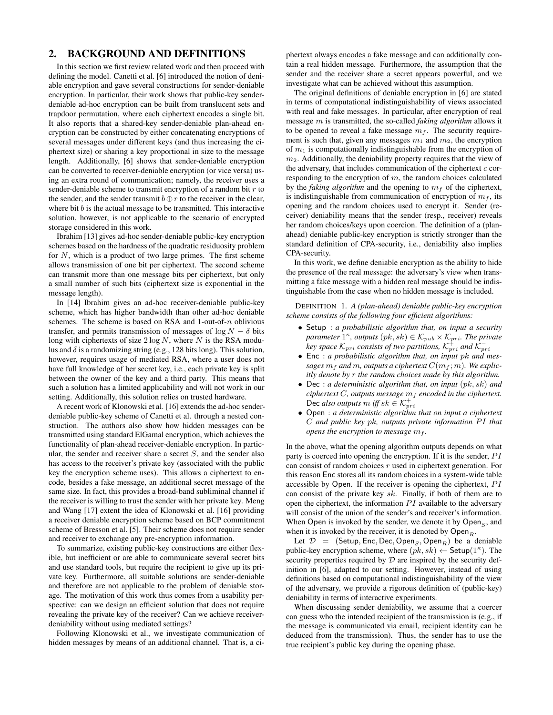## 2. BACKGROUND AND DEFINITIONS

In this section we first review related work and then proceed with defining the model. Canetti et al. [6] introduced the notion of deniable encryption and gave several constructions for sender-deniable encryption. In particular, their work shows that public-key senderdeniable ad-hoc encryption can be built from translucent sets and trapdoor permutation, where each ciphertext encodes a single bit. It also reports that a shared-key sender-deniable plan-ahead encryption can be constructed by either concatenating encryptions of several messages under different keys (and thus increasing the ciphertext size) or sharing a key proportional in size to the message length. Additionally, [6] shows that sender-deniable encryption can be converted to receiver-deniable encryption (or vice versa) using an extra round of communication; namely, the receiver uses a sender-deniable scheme to transmit encryption of a random bit  $r$  to the sender, and the sender transmit  $b \oplus r$  to the receiver in the clear, where bit  $b$  is the actual message to be transmitted. This interactive solution, however, is not applicable to the scenario of encrypted storage considered in this work.

Ibrahim [13] gives ad-hoc sender-deniable public-key encryption schemes based on the hardness of the quadratic residuosity problem for  $N$ , which is a product of two large primes. The first scheme allows transmission of one bit per ciphertext. The second scheme can transmit more than one message bits per ciphertext, but only a small number of such bits (ciphertext size is exponential in the message length).

In [14] Ibrahim gives an ad-hoc receiver-deniable public-key scheme, which has higher bandwidth than other ad-hoc deniable schemes. The scheme is based on RSA and 1-out-of- $n$  oblivious transfer, and permits transmission of messages of  $\log N - \delta$  bits long with ciphertexts of size  $2 \log N$ , where N is the RSA modulus and  $\delta$  is a randomizing string (e.g., 128 bits long). This solution, however, requires usage of mediated RSA, where a user does not have full knowledge of her secret key, i.e., each private key is split between the owner of the key and a third party. This means that such a solution has a limited applicability and will not work in our setting. Additionally, this solution relies on trusted hardware.

A recent work of Klonowski et al. [16] extends the ad-hoc senderdeniable public-key scheme of Canetti et al. through a nested construction. The authors also show how hidden messages can be transmitted using standard ElGamal encryption, which achieves the functionality of plan-ahead receiver-deniable encryption. In particular, the sender and receiver share a secret  $S$ , and the sender also has access to the receiver's private key (associated with the public key the encryption scheme uses). This allows a ciphertext to encode, besides a fake message, an additional secret message of the same size. In fact, this provides a broad-band subliminal channel if the receiver is willing to trust the sender with her private key. Meng and Wang [17] extent the idea of Klonowski et al. [16] providing a receiver deniable encryption scheme based on BCP commitment scheme of Bresson et al. [5]. Their scheme does not require sender and receiver to exchange any pre-encryption information.

To summarize, existing public-key constructions are either flexible, but inefficient or are able to communicate several secret bits and use standard tools, but require the recipient to give up its private key. Furthermore, all suitable solutions are sender-deniable and therefore are not applicable to the problem of deniable storage. The motivation of this work thus comes from a usability perspective: can we design an efficient solution that does not require revealing the private key of the receiver? Can we achieve receiverdeniability without using mediated settings?

Following Klonowski et al., we investigate communication of hidden messages by means of an additional channel. That is, a ciphertext always encodes a fake message and can additionally contain a real hidden message. Furthermore, the assumption that the sender and the receiver share a secret appears powerful, and we investigate what can be achieved without this assumption.

The original definitions of deniable encryption in [6] are stated in terms of computational indistinguishability of views associated with real and fake messages. In particular, after encryption of real message m is transmitted, the so-called *faking algorithm* allows it to be opened to reveal a fake message  $m_f$ . The security requirement is such that, given any messages  $m_1$  and  $m_2$ , the encryption of  $m_1$  is computationally indistinguishable from the encryption of  $m<sub>2</sub>$ . Additionally, the deniability property requires that the view of the adversary, that includes communication of the ciphertext  $c$  corresponding to the encryption of  $m$ , the random choices calculated by the *faking algorithm* and the opening to  $m_f$  of the ciphertext, is indistinguishable from communication of encryption of  $m_f$ , its opening and the random choices used to encrypt it. Sender (receiver) deniability means that the sender (resp., receiver) reveals her random choices/keys upon coercion. The definition of a (planahead) deniable public-key encryption is strictly stronger than the standard definition of CPA-security, i.e., deniability also implies CPA-security.

In this work, we define deniable encryption as the ability to hide the presence of the real message: the adversary's view when transmitting a fake message with a hidden real message should be indistinguishable from the case when no hidden message is included.

DEFINITION 1. *A (plan-ahead) deniable public-key encryption scheme consists of the following four efficient algorithms:*

- Setup : *a probabilistic algorithm that, on input a security*  $\mathit{parameter}\,1^{\kappa},\mathit{outputs}\,(pk,sk) \in \mathcal{K}_{pub} \times \mathcal{K}_{pri}.$  The private key space  $\mathcal{K}_{pri}$  consists of two partitions,  $\mathcal{K}_{pri}^{+}$  and  $\mathcal{K}_{pri}^{-}$
- Enc : *a probabilistic algorithm that, on input* pk *and mes*sages  $m_f$  and  $m$ , outputs a ciphertext  $C(m_f; m)$ . We explic*itly denote by* r *the random choices made by this algorithm.*
- Dec : *a deterministic algorithm that, on input* (pk, sk) *and ciphertext*  $C$ *, outputs message*  $m_f$  *encoded in the ciphertext.* Dec *also outputs*  $m$  *iff*  $sk \in \mathcal{K}_{pri}^+$
- Open : *a deterministic algorithm that on input a ciphertext* C and public key pk, outputs private information PI that *opens the encryption to message*  $m_f$ .

In the above, what the opening algorithm outputs depends on what party is coerced into opening the encryption. If it is the sender, PI can consist of random choices  $r$  used in ciphertext generation. For this reason Enc stores all its random choices in a system-wide table accessible by Open. If the receiver is opening the ciphertext,  $PI$ can consist of the private key  $sk$ . Finally, if both of them are to open the ciphertext, the information  $PI$  available to the adversary will consist of the union of the sender's and receiver's information. When Open is invoked by the sender, we denote it by Open<sub>s</sub>, and when it is invoked by the receiver, it is denoted by  $Open<sub>R</sub>$ .

Let  $\mathcal{D} = (\text{Setup}, \text{Enc}, \text{Dec}, \text{Open}_S, \text{Open}_R)$  be a deniable public-key encryption scheme, where  $(\tilde{pk}, sk) \leftarrow$  Setup $(1^{\kappa})$ . The security properties required by  $D$  are inspired by the security definition in [6], adapted to our setting. However, instead of using definitions based on computational indistinguishability of the view of the adversary, we provide a rigorous definition of (public-key) deniability in terms of interactive experiments.

When discussing sender deniability, we assume that a coercer can guess who the intended recipient of the transmission is (e.g., if the message is communicated via email, recipient identity can be deduced from the transmission). Thus, the sender has to use the true recipient's public key during the opening phase.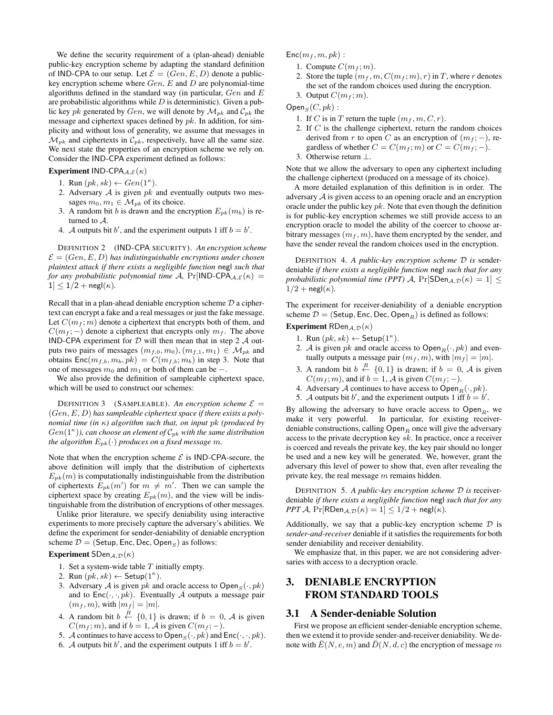We define the security requirement of a (plan-ahead) deniable public-key encryption scheme by adapting the standard definition of IND-CPA to our setup. Let  $\mathcal{E} = (Gen, E, D)$  denote a publickey encryption scheme where  $Gen, E$  and  $D$  are polynomial-time algorithms defined in the standard way (in particular,  $Gen$  and  $E$ are probabilistic algorithms while  $D$  is deterministic). Given a public key pk generated by Gen, we will denote by  $\mathcal{M}_{pk}$  and  $\mathcal{C}_{pk}$  the message and ciphertext spaces defined by  $pk$ . In addition, for simplicity and without loss of generality, we assume that messages in  $\mathcal{M}_{pk}$  and ciphertexts in  $\mathcal{C}_{pk}$ , respectively, have all the same size. We next state the properties of an encryption scheme we rely on. Consider the IND-CPA experiment defined as follows:

#### Experiment IND-CPA $_{A,\mathcal{E}}(\kappa)$

- 1. Run  $(pk, sk) \leftarrow Gen(1^{\kappa})$ .
- 2. Adversary  $A$  is given  $pk$  and eventually outputs two messages  $m_0, m_1 \in \mathcal{M}_{pk}$  of its choice.
- 3. A random bit b is drawn and the encryption  $E_{pk}(m_b)$  is returned to A.
- 4. A outputs bit b', and the experiment outputs 1 iff  $b = b'$ .

DEFINITION 2 (IND-CPA SECURITY). *An encryption scheme*  $\mathcal{E} = (Gen, E, D)$  has indistinguishable encryptions under chosen *plaintext attack if there exists a negligible function* negl *such that for any probabilistic polynomial time A,*  $Pr[IND-CPA_{A,\mathcal{E}}(\kappa)] =$  $1 \leq 1/2 + \mathsf{negl}(\kappa)$ .

Recall that in a plan-ahead deniable encryption scheme  $D$  a ciphertext can encrypt a fake and a real messages or just the fake message. Let  $C(m_f; m)$  denote a ciphertext that encrypts both of them, and  $C(m_f; -)$  denote a ciphertext that encrypts only  $m_f$ . The above IND-CPA experiment for  $D$  will then mean that in step 2  $A$  outputs two pairs of messages  $(m_{f,0}, m_0), (m_{f,1}, m_1) \in \mathcal{M}_{pk}$  and obtains  $Enc(m_{f,b}, m_b, pk) = C(m_{f,b}; m_b)$  in step 3. Note that one of messages  $m_0$  and  $m_1$  or both of them can be –.

We also provide the definition of sampleable ciphertext space, which will be used to construct our schemes:

DEFINITION 3 (SAMPLEABLE). An encryption scheme  $\mathcal{E} =$ (Gen, E, D) *has sampleable ciphertext space if there exists a polynomial time (in* κ*) algorithm such that, on input* pk *(produced by*  $Gen(1<sup>\kappa</sup>)$ , can choose an element of  $\mathcal{C}_{pk}$  with the same distribution *the algorithm*  $E_{pk}(\cdot)$  *produces on a fixed message m.* 

Note that when the encryption scheme  $\mathcal E$  is IND-CPA-secure, the above definition will imply that the distribution of ciphertexts  $E_{pk}(m)$  is computationally indistinguishable from the distribution of ciphertexts  $E_{pk}(m')$  for  $m \neq m'$ . Then we can sample the ciphertext space by creating  $E_{pk}(m)$ , and the view will be indistinguishable from the distribution of encryptions of other messages.

Unlike prior literature, we specify deniability using interactive experiments to more precisely capture the adversary's abilities. We define the experiment for sender-deniability of deniable encryption scheme  $\mathcal{D} = ($ Setup, Enc, Dec, Open<sub>S</sub> $)$  as follows:

#### Experiment SDen $_{A,\mathcal{D}}(\kappa)$

- 1. Set a system-wide table  $T$  initially empty.
- 2. Run  $(pk, sk) \leftarrow$  Setup $(1^k)$ .
- 3. Adversary A is given pk and oracle access to  $\textsf{Open}_S(\cdot, pk)$ and to  $Enc(\cdot, \cdot, pk)$ . Eventually A outputs a message pair  $(m_f, m)$ , with  $|m_f| = |m|$ .
- 4. A random bit  $b \stackrel{R}{\leftarrow} \{0,1\}$  is drawn; if  $b = 0$ , A is given  $C(m_f; m)$ , and if  $b = 1$ , A is given  $C(m_f; -)$ .
- 5. A continues to have access to Open<sub>S</sub> $(\cdot, pk)$  and Enc $(\cdot, \cdot, pk)$ .
- 6. A outputs bit b', and the experiment outputs 1 iff  $b = b'$ .

#### $Enc(m_f, m, pk)$ :

- 1. Compute  $C(m_f; m)$ .
- 2. Store the tuple  $(m_f, m, C(m_f; m), r)$  in T, where r denotes the set of the random choices used during the encryption.
- 3. Output  $C(m_f; m)$ .

 $\mathsf{Open}_S(C, pk)$  :

- 1. If C is in T return the tuple  $(m_f, m, C, r)$ .
- 2. If  $C$  is the challenge ciphertext, return the random choices derived from r to open C as an encryption of  $(m_f; -)$ , regardless of whether  $C = C(m_f; m)$  or  $C = C(m_f; -)$ . 3. Otherwise return ⊥.
- 

Note that we allow the adversary to open any ciphertext including the challenge ciphertext (produced on a message of its choice).

A more detailed explanation of this definition is in order. The adversary  $A$  is given access to an opening oracle and an encryption oracle under the public key  $pk$ . Note that even though the definition is for public-key encryption schemes we still provide access to an encryption oracle to model the ability of the coercer to choose arbitrary messages  $(m_f, m)$ , have them encrypted by the sender, and have the sender reveal the random choices used in the encryption.

DEFINITION 4. *A public-key encryption scheme* D *is* senderdeniable *if there exists a negligible function* negl *such that for any probabilistic polynomial time (PPT)* A,  $Pr[SDen_{A,D}(\kappa) = 1] \le$  $1/2 + \text{negl}(\kappa)$ .

The experiment for receiver-deniability of a deniable encryption scheme  $\mathcal{D} = ($ Setup, Enc, Dec, Open $_R$ ) is defined as follows: **Experiment** RDen $_{A,D}(\kappa)$ 

- - 1. Run  $(pk, sk) \leftarrow$  Setup $(1^{\kappa})$ .
- 2. A is given pk and oracle access to  $\mathsf{Open}_R(\cdot, pk)$  and eventually outputs a message pair  $(m_f, m)$ , with  $|m_f | = |m|$ .
- 3. A random bit  $b \stackrel{R}{\leftarrow} \{0,1\}$  is drawn; if  $b = 0$ , A is given  $C(m_f; m)$ , and if  $b = 1$ ,  $\overline{A}$  is given  $C(m_f; -)$ .
- 4. Adversary A continues to have access to Open<sub>R</sub> $(\cdot, pk)$ .
- 5. A outputs bit b', and the experiment outputs 1 iff  $b = b'$ .

By allowing the adversary to have oracle access to  $Open<sub>R</sub>$ , we make it very powerful. In particular, for existing receiverdeniable constructions, calling  $Open_R$  once will give the adversary access to the private decryption key sk. In practice, once a receiver is coerced and reveals the private key, the key pair should no longer be used and a new key will be generated. We, however, grant the adversary this level of power to show that, even after revealing the private key, the real message m remains hidden.

DEFINITION 5. *A public-key encryption scheme* D *is* receiverdeniable *if there exists a negligible function* negl *such that for any PPT A*,  $Pr[RDen_{A,D}(\kappa) = 1] \leq 1/2 + neg(\kappa)$ .

Additionally, we say that a public-key encryption scheme  $D$  is *sender-and-receiver* deniable if it satisfies the requirements for both sender deniability and receiver deniability.

We emphasize that, in this paper, we are not considering adversaries with access to a decryption oracle.

## 3. DENIABLE ENCRYPTION FROM STANDARD TOOLS

#### 3.1 A Sender-deniable Solution

First we propose an efficient sender-deniable encryption scheme, then we extend it to provide sender-and-receiver deniability. We denote with  $\bar{E}(N, e, m)$  and  $\bar{D}(N, d, c)$  the encryption of message m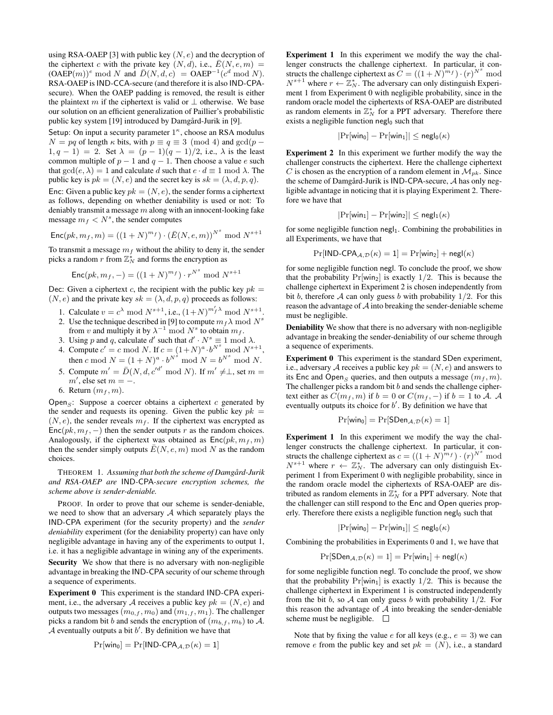using RSA-OAEP [3] with public key  $(N, e)$  and the decryption of the ciphertext c with the private key  $(N, d)$ , i.e.,  $\bar{E}(N, e, m) =$  $(OA \to P(m))^e \mod N$  and  $\overline{D}(N, d, c) = OA \to P^{-1}(c^d \mod N)$ . RSA-OAEP is IND-CCA-secure (and therefore it is also IND-CPAsecure). When the OAEP padding is removed, the result is either the plaintext m if the ciphertext is valid or  $\perp$  otherwise. We base our solution on an efficient generalization of Paillier's probabilistic public key system [19] introduced by Damgård-Jurik in [9].

Setup: On input a security parameter  $1<sup>\kappa</sup>$ , choose an RSA modulus  $N = pq$  of length  $\kappa$  bits, with  $p \equiv q \equiv 3 \pmod{4}$  and  $gcd(p - q)$  $1, q - 1$  = 2. Set  $\lambda = (p - 1)(q - 1)/2$ , i.e.,  $\lambda$  is the least common multiple of  $p - 1$  and  $q - 1$ . Then choose a value e such that gcd(e,  $\lambda$ ) = 1 and calculate d such that  $e \cdot d \equiv 1 \mod \lambda$ . The public key is  $pk = (N, e)$  and the secret key is  $sk = (\lambda, d, p, q)$ .

Enc: Given a public key  $pk = (N, e)$ , the sender forms a ciphertext as follows, depending on whether deniability is used or not: To deniably transmit a message  $m$  along with an innocent-looking fake message  $m_f < N^s$ , the sender computes

$$
Enc(pk, m_f, m) = ((1 + N)^{m_f}) \cdot (\bar{E}(N, e, m))^{N^s} \mod N^{s+1}
$$

To transmit a message  $m_f$  without the ability to deny it, the sender picks a random r from  $\mathbb{Z}_N^*$  and forms the encryption as

$$
\text{Enc}(pk, m_f, -) = ((1 + N)^{m_f}) \cdot r^{N^s} \mod N^{s+1}
$$

Dec: Given a ciphertext c, the recipient with the public key  $pk =$  $(N, e)$  and the private key  $sk = (\lambda, d, p, q)$  proceeds as follows:

- 1. Calculate  $v = c^{\lambda} \mod N^{s+1}$ , i.e.,  $(1+N)^{m'_f \lambda} \mod N^{s+1}$ .
- 2. Use the technique described in [9] to compute  $m_f \lambda \text{ mod } N^s$ from v and multiply it by  $\lambda^{-1}$  mod  $N^s$  to obtain  $m_f$ .
- 3. Using p and q, calculate d' such that  $d' \cdot N^s \equiv 1 \mod \lambda$ .
- 4. Compute  $c' = c \mod N$ . If  $c = (1 + N)^a \cdot b^{N^s} \mod N^{s+1}$ , then c mod  $N = (1 + N)^a \cdot b^{N^s} \mod N = b^{N^s} \mod N$ .
- 5. Compute  $m' = \overline{D}(N, d, c'^{d'} \mod N)$ . If  $m' \neq \perp$ , set  $m =$  $m'$ , else set  $m = -$ .
- 6. Return  $(m_f, m)$ .

Open<sub>S</sub>: Suppose a coercer obtains a ciphertext c generated by the sender and requests its opening. Given the public key  $pk =$  $(N, e)$ , the sender reveals  $m<sub>f</sub>$ . If the ciphertext was encrypted as  $Enc(pk, m_f, -)$  then the sender outputs r as the random choices. Analogously, if the ciphertext was obtained as  $Enc(pk, m_f, m)$ then the sender simply outputs  $\bar{E}(N, e, m) \text{ mod } N$  as the random choices.

THEOREM 1. *Assuming that both the scheme of Damgård-Jurik and RSA-OAEP are* IND*-*CPA*-secure encryption schemes, the scheme above is sender-deniable.*

PROOF. In order to prove that our scheme is sender-deniable, we need to show that an adversary  $A$  which separately plays the IND-CPA experiment (for the security property) and the *sender deniability* experiment (for the deniability property) can have only negligible advantage in having any of the experiments to output 1, i.e. it has a negligible advantage in wining any of the experiments.

Security We show that there is no adversary with non-negligible advantage in breaking the IND-CPA security of our scheme through a sequence of experiments.

Experiment 0 This experiment is the standard IND-CPA experiment, i.e., the adversary A receives a public key  $pk = (N, e)$  and outputs two messages  $(m_{0,f}, m_0)$  and  $(m_{1,f}, m_1)$ . The challenger picks a random bit b and sends the encryption of  $(m_{b,f}, m_b)$  to A.  $\mathcal A$  eventually outputs a bit  $b'$ . By definition we have that

$$
Pr[\mathsf{win}_0] = Pr[\mathsf{IND}\text{-}\mathsf{CPA}_{\mathcal{A},\mathcal{D}}(\kappa) = 1]
$$

Experiment 1 In this experiment we modify the way the challenger constructs the challenge ciphertext. In particular, it constructs the challenge ciphertext as  $C = ((1 + N)^{m_f}) \cdot (r)^{N^s} \mod$  $N^{s+1}$  where  $r \leftarrow \mathbb{Z}_N^*$ . The adversary can only distinguish Experiment 1 from Experiment 0 with negligible probability, since in the random oracle model the ciphertexts of RSA-OAEP are distributed as random elements in  $\mathbb{Z}_N^*$  for a PPT adversary. Therefore there exists a negligible function negl<sub>0</sub> such that

$$
|\Pr[\mathsf{win}_0] - \Pr[\mathsf{win}_1]| \leq \mathsf{negl}_0(\kappa)
$$

Experiment 2 In this experiment we further modify the way the challenger constructs the ciphertext. Here the challenge ciphertext C is chosen as the encryption of a random element in  $\mathcal{M}_{pk}$ . Since the scheme of Damgård-Jurik is IND-CPA-secure, A has only negligible advantage in noticing that it is playing Experiment 2. Therefore we have that

$$
|\Pr[\mathsf{win}_1] - \Pr[\mathsf{win}_2]| \leq \mathsf{negl}_1(\kappa)
$$

for some negligible function  $negl_1$ . Combining the probabilities in all Experiments, we have that

$$
Pr[IND\text{-}CPA_{\mathcal{A},\mathcal{D}}(\kappa) = 1] = Pr[\text{win}_2] + \text{negl}(\kappa)
$$

for some negligible function negl. To conclude the proof, we show that the probability  $Pr[\text{win}_2]$  is exactly 1/2. This is because the challenge ciphertext in Experiment 2 is chosen independently from bit b, therefore A can only guess b with probability  $1/2$ . For this reason the advantage of A into breaking the sender-deniable scheme must be negligible.

Deniability We show that there is no adversary with non-negligible advantage in breaking the sender-deniability of our scheme through a sequence of experiments.

Experiment 0 This experiment is the standard SDen experiment, i.e., adversary A receives a public key  $pk = (N, e)$  and answers to its Enc and Open<sub>S</sub> queries, and then outputs a message  $(m_f, m)$ . The challenger picks a random bit  $b$  and sends the challenge ciphertext either as  $C(m_f, m)$  if  $b = 0$  or  $C(m_f, -)$  if  $b = 1$  to A. A eventually outputs its choice for  $b'$ . By definition we have that

$$
Pr[\mathsf{win}_0] = Pr[\mathsf{SDen}_{\mathcal{A},\mathcal{D}}(\kappa) = 1]
$$

Experiment 1 In this experiment we modify the way the challenger constructs the challenge ciphertext. In particular, it constructs the challenge ciphertext as  $c = ((1 + N)^{m_f}) \cdot (r)^{N^s} \mod$  $N^{s+1}$  where  $r \leftarrow \mathbb{Z}_N^*$ . The adversary can only distinguish Experiment 1 from Experiment 0 with negligible probability, since in the random oracle model the ciphertexts of RSA-OAEP are distributed as random elements in  $\mathbb{Z}_N^*$  for a PPT adversary. Note that the challenger can still respond to the Enc and Open queries properly. Therefore there exists a negligible function negl<sub>0</sub> such that

$$
|\Pr[\mathsf{win}_0] - \Pr[\mathsf{win}_1]| \leq \mathsf{negl}_0(\kappa)
$$

Combining the probabilities in Experiments 0 and 1, we have that

$$
Pr[\textsf{SDen}_{\mathcal{A}, \mathcal{D}}(\kappa) = 1] = Pr[\textsf{win}_1] + \textsf{negl}(\kappa)
$$

for some negligible function negl. To conclude the proof, we show that the probability  $Pr[\text{win}_1]$  is exactly 1/2. This is because the challenge ciphertext in Experiment 1 is constructed independently from the bit b, so A can only guess b with probability  $1/2$ . For this reason the advantage of  $A$  into breaking the sender-deniable scheme must be negligible.  $\quad \Box$ 

Note that by fixing the value e for all keys (e.g.,  $e = 3$ ) we can remove e from the public key and set  $pk = (N)$ , i.e., a standard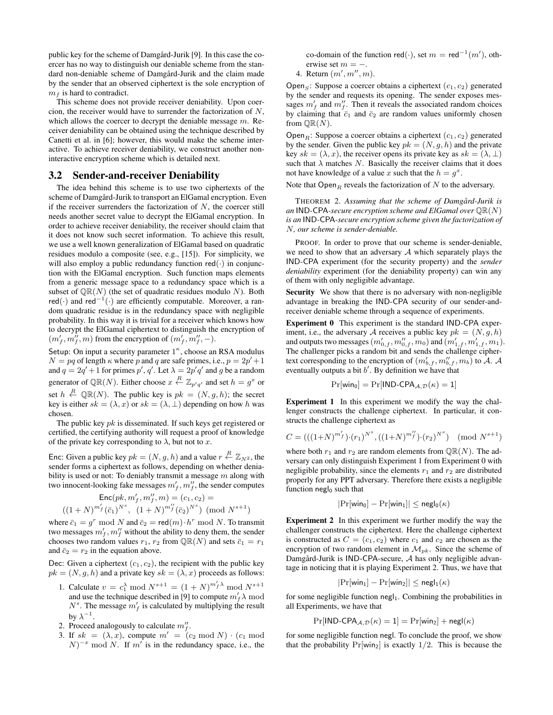public key for the scheme of Damgård-Jurik [9]. In this case the coercer has no way to distinguish our deniable scheme from the standard non-deniable scheme of Damgård-Jurik and the claim made by the sender that an observed ciphertext is the sole encryption of  $m_f$  is hard to contradict.

This scheme does not provide receiver deniability. Upon coercion, the receiver would have to surrender the factorization of  $N$ , which allows the coercer to decrypt the deniable message  $m$ . Receiver deniability can be obtained using the technique described by Canetti et al. in [6]; however, this would make the scheme interactive. To achieve receiver deniability, we construct another noninteractive encryption scheme which is detailed next.

#### 3.2 Sender-and-receiver Deniability

The idea behind this scheme is to use two ciphertexts of the scheme of Damgård-Jurik to transport an ElGamal encryption. Even if the receiver surrenders the factorization of  $N$ , the coercer still needs another secret value to decrypt the ElGamal encryption. In order to achieve receiver deniability, the receiver should claim that it does not know such secret information. To achieve this result, we use a well known generalization of ElGamal based on quadratic residues modulo a composite (see, e.g., [15]). For simplicity, we will also employ a public redundancy function  $\text{red}(\cdot)$  in conjunction with the ElGamal encryption. Such function maps elements from a generic message space to a redundancy space which is a subset of  $\mathbb{QR}(N)$  (the set of quadratic residues modulo N). Both red(·) and red<sup>-1</sup>(·) are efficiently computable. Moreover, a random quadratic residue is in the redundancy space with negligible probability. In this way it is trivial for a receiver which knows how to decrypt the ElGamal ciphertext to distinguish the encryption of  $(m'_f, m''_f, m)$  from the encryption of  $(m'_f, m''_f, -)$ .

Setup: On input a security parameter  $1<sup>\kappa</sup>$ , choose an RSA modulus  $N = pq$  of length  $\kappa$  where p and q are safe primes, i.e.,  $p = 2p' + 1$ and  $q = 2q' + 1$  for primes  $p', q'$ . Let  $\lambda = 2p'q'$  and g be a random generator of QR(N). Either choose  $x \stackrel{R}{\leftarrow} \mathbb{Z}_{p'q'}$  and set  $h = g^x$  or set  $h \stackrel{R}{\leftarrow} \mathbb{QR}(N)$ . The public key is  $pk = (N, g, h)$ ; the secret key is either  $s\vec{k} = (\lambda, x)$  or  $s\vec{k} = (\lambda, \perp)$  depending on how h was chosen.

The public key pk is disseminated. If such keys get registered or certified, the certifying authority will request a proof of knowledge of the private key corresponding to  $\lambda$ , but not to x.

Enc: Given a public key  $pk = (N, g, h)$  and a value  $r \stackrel{R}{\leftarrow} \mathbb{Z}_{N^2}$ , the sender forms a ciphertext as follows, depending on whether deniability is used or not: To deniably transmit a message  $m$  along with two innocent-looking fake messages  $m_f', m_f''$ , the sender computes

$$
\mathsf{Enc}(pk, m'_f, m''_f, m) = (c_1, c_2) =
$$

$$
((1+N)^{m'_f}(\bar{c}_1)^{N^s}, (1+N)^{m''_f}(\bar{c}_2)^{N^s}) \pmod{N^{s+1}}
$$

where  $\bar{c}_1 = g^r \mod N$  and  $\bar{c}_2 = \text{red}(m) \cdot h^r \mod N$ . To transmit two messages  $m_f', m_f''$  without the ability to deny them, the sender chooses two random values  $r_1$ ,  $r_2$  from  $\mathbb{QR}(N)$  and sets  $\bar{c}_1 = r_1$ and  $\bar{c}_2 = r_2$  in the equation above.

Dec: Given a ciphertext  $(c_1, c_2)$ , the recipient with the public key  $pk = (N, g, h)$  and a private key  $sk = (\lambda, x)$  proceeds as follows:

- 1. Calculate  $v = c_1^{\lambda} \bmod N^{s+1} = (1 + N)^{m'_f \lambda} \bmod N^{s+1}$ and use the technique described in [9] to compute  $m_f' \lambda \text{ mod } 1$  $N^s$ . The message  $m_f'$  is calculated by multiplying the result by  $\lambda^{-1}$ .
- 2. Proceed analogously to calculate  $m_f''$ .
- 3. If  $sk = (\lambda, x)$ , compute  $m' = (c_2 \mod N) \cdot (c_1 \mod n)$  $(N)^{-x}$  mod N. If m' is in the redundancy space, i.e., the

co-domain of the function 
$$
\text{red}(\cdot)
$$
, set  $m = \text{red}^{-1}(m')$ , otherwise set  $m = -$ .

4. Return 
$$
(m', m'', m)
$$
.

Open<sub>s</sub>: Suppose a coercer obtains a ciphertext  $(c_1, c_2)$  generated by the sender and requests its opening. The sender exposes messages  $m'_f$  and  $m''_f$ . Then it reveals the associated random choices by claiming that  $\bar{c}_1$  and  $\bar{c}_2$  are random values uniformly chosen from  $\mathbb{QR}(N)$ .

Open<sub>R</sub>: Suppose a coercer obtains a ciphertext  $(c_1, c_2)$  generated by the sender. Given the public key  $pk = (N, g, h)$  and the private key  $sk = (\lambda, x)$ , the receiver opens its private key as  $sk = (\lambda, \perp)$ such that  $\lambda$  matches N. Basically the receiver claims that it does not have knowledge of a value x such that the  $h = g^x$ .

Note that  $Open_R$  reveals the factorization of N to the adversary.

THEOREM 2. *Assuming that the scheme of Damgård-Jurik is an* IND-CPA-secure encryption scheme and ElGamal over  $\mathbb{QR}(N)$ *is an* IND*-*CPA*-secure encryption scheme given the factorization of* N*, our scheme is sender-deniable.*

PROOF. In order to prove that our scheme is sender-deniable, we need to show that an adversary  $A$  which separately plays the IND-CPA experiment (for the security property) and the *sender deniability* experiment (for the deniability property) can win any of them with only negligible advantage.

Security We show that there is no adversary with non-negligible advantage in breaking the IND-CPA security of our sender-andreceiver deniable scheme through a sequence of experiments.

Experiment 0 This experiment is the standard IND-CPA experiment, i.e., the adversary A receives a public key  $pk = (N, g, h)$ and outputs two messages  $(m'_{0,f}, m''_{0,f}, m_0)$  and  $(m'_{1,f}, m'_{1,f}, m_1)$ . The challenger picks a random bit and sends the challenge ciphertext corresponding to the encryption of  $(m'_{b,f}, m''_{b,f}, m_b)$  to A. A eventually outputs a bit  $b'$ . By definition we have that

$$
\Pr[\mathsf{win}_0] = \Pr[\mathsf{IND}\text{-}\mathsf{CPA}_{\mathcal{A},\mathcal{D}}(\kappa) = 1]
$$

Experiment 1 In this experiment we modify the way the challenger constructs the challenge ciphertext. In particular, it constructs the challenge ciphertext as

$$
C = (((1+N)^{m'_f}) \cdot (r_1)^{N^s}, ((1+N)^{m''_f}) \cdot (r_2)^{N^s}) \pmod{N^{s+1}}
$$

where both  $r_1$  and  $r_2$  are random elements from  $\mathbb{QR}(N)$ . The adversary can only distinguish Experiment 1 from Experiment 0 with negligible probability, since the elements  $r_1$  and  $r_2$  are distributed properly for any PPT adversary. Therefore there exists a negligible function negl $<sub>0</sub>$  such that</sub>

$$
|\mathrm{Pr}[\mathsf{win}_0] - \mathrm{Pr}[\mathsf{win}_1]| \leq \mathsf{negl}_0(\kappa)
$$

Experiment 2 In this experiment we further modify the way the challenger constructs the ciphertext. Here the challenge ciphertext is constructed as  $C = (c_1, c_2)$  where  $c_1$  and  $c_2$  are chosen as the encryption of two random element in  $\mathcal{M}_{pk}$ . Since the scheme of Damgård-Jurik is IND-CPA-secure, A has only negligible advantage in noticing that it is playing Experiment 2. Thus, we have that

$$
|\Pr[\mathsf{win}_1] - \Pr[\mathsf{win}_2]| \leq \mathsf{negl}_1(\kappa)
$$

for some negligible function  $\operatorname{negl}_1$ . Combining the probabilities in all Experiments, we have that

$$
Pr[IND\text{-}CPA_{\mathcal{A},\mathcal{D}}(\kappa) = 1] = Pr[win_2] + negl(\kappa)
$$

for some negligible function negl. To conclude the proof, we show that the probability  $Pr[\text{win}_2]$  is exactly 1/2. This is because the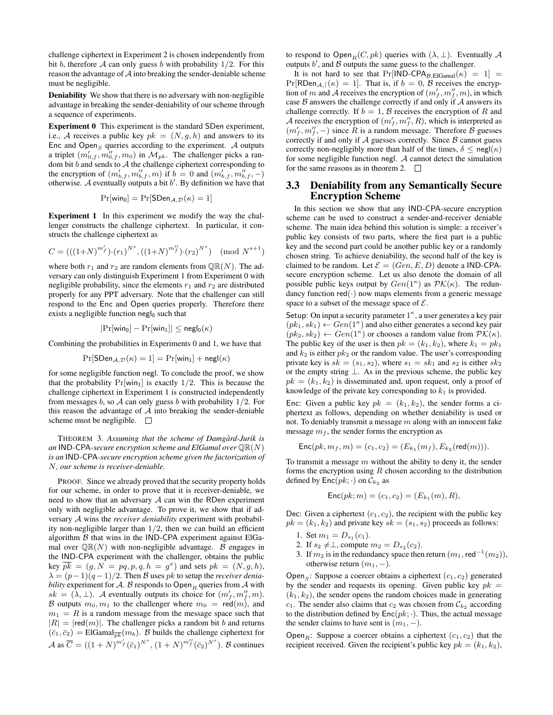challenge ciphertext in Experiment 2 is chosen independently from bit b, therefore A can only guess b with probability  $1/2$ . For this reason the advantage of A into breaking the sender-deniable scheme must be negligible.

Deniability We show that there is no adversary with non-negligible advantage in breaking the sender-deniability of our scheme through a sequence of experiments.

Experiment 0 This experiment is the standard SDen experiment, i.e., A receives a public key  $pk = (N, g, h)$  and answers to its Enc and Open<sub>S</sub> queries according to the experiment. A outputs a triplet  $(m'_{0,f}, m''_{0,f}, m_0)$  in  $\mathcal{M}_{pk}$ . The challenger picks a random bit  $b$  and sends to  $A$  the challenge ciphertext corresponding to the encryption of  $(m'_{b,f}, m''_{b,f}, m)$  if  $b = 0$  and  $(m'_{b,f}, m''_{b,f}, -)$ otherwise. A eventually outputs a bit  $b'$ . By definition we have that

$$
\Pr[\mathsf{win}_0] = \Pr[\mathsf{SDen}_{\mathcal{A}, \mathcal{D}}(\kappa) = 1]
$$

Experiment 1 In this experiment we modify the way the challenger constructs the challenge ciphertext. In particular, it constructs the challenge ciphertext as

$$
C = (((1+N)^{m'})(r_1)^{N^s}, ((1+N)^{m''}_1)(r_2)^{N^s}) \pmod{N^{s+1}}
$$

where both  $r_1$  and  $r_2$  are random elements from  $\mathbb{QR}(N)$ . The adversary can only distinguish Experiment 1 from Experiment 0 with negligible probability, since the elements  $r_1$  and  $r_2$  are distributed properly for any PPT adversary. Note that the challenger can still respond to the Enc and Open queries properly. Therefore there exists a negligible function negl<sub>0</sub> such that

$$
|\Pr[\mathsf{win}_0] - \Pr[\mathsf{win}_1]| \leq \mathsf{negl}_0(\kappa)
$$

Combining the probabilities in Experiments 0 and 1, we have that

$$
\Pr[\mathsf{SDen}_{\mathcal{A}, \mathcal{D}}(\kappa) = 1] = \Pr[\mathsf{win}_1] + \mathsf{negl}(\kappa)
$$

for some negligible function negl. To conclude the proof, we show that the probability  $Pr[\text{win}_1]$  is exactly 1/2. This is because the challenge ciphertext in Experiment 1 is constructed independently from messages b, so  $A$  can only guess b with probability  $1/2$ . For this reason the advantage of  $A$  into breaking the sender-deniable scheme must be negligible.  $\square$ 

THEOREM 3. *Assuming that the scheme of Damgård-Jurik is* an IND-CPA-secure encryption scheme and ElGamal over  $\mathbb{QR}(N)$ *is an* IND*-*CPA*-secure encryption scheme given the factorization of* N*, our scheme is receiver-deniable.*

PROOF. Since we already proved that the security property holds for our scheme, in order to prove that it is receiver-deniable, we need to show that an adversary  $A$  can win the RDen experiment only with negligible advantage. To prove it, we show that if adversary A wins the *receiver deniability* experiment with probability non-negligible larger than  $1/2$ , then we can build an efficient algorithm  $\beta$  that wins in the IND-CPA experiment against ElGamal over  $\mathbb{QR}(N)$  with non-negligible advantage. B engages in the IND-CPA experiment with the challenger, obtains the public key  $\overline{pk} = (g, N = pq, p, q, h = g^x)$  and sets  $pk = (N, g, h)$ ,  $\lambda = (p-1)(q-1)/2$ . Then B uses pk to setup the *receiver deniability* experiment for A. B responds to Open<sub>R</sub> queries from A with  $sk = (\lambda, \perp)$ . A eventually outputs its choice for  $(m'_f, m''_f, m)$ . B outputs  $m_0, m_1$  to the challenger where  $m_0 = \text{red}(m)$ , and  $m_1 = R$  is a random message from the message space such that  $|R| = |\text{red}(m)|$ . The challenger picks a random bit b and returns  $(\bar{c}_1, \bar{c}_2)$  = ElGamal<sub> $\bar{vk}$ </sub> $(m_b)$ . *B* builds the challenge ciphertext for  $\mathcal{A}$  as  $\overline{C} = ((1+N)^{m'_{f}}(\overline{c}_{1})^{N^{s}}, (1+N)^{m''_{f}}(\overline{c}_{2})^{N^{s}})$ . B continues

to respond to Open<sub>R</sub>(C, pk) queries with  $(\lambda, \perp)$ . Eventually A outputs  $b'$ , and  $B$  outputs the same guess to the challenger.

It is not hard to see that Pr[IND-CPA<sub>B,ElGamal</sub> $(\kappa)$  = 1] =  $Pr[RDen_{A,\lceil}(\kappa) = 1]$ . That is, if  $b = 0$ ,  $\beta$  receives the encryption of m and A receives the encryption of  $(m'_f, m''_f, m)$ , in which case  $\beta$  answers the challenge correctly if and only if  $\mathcal A$  answers its challenge correctly. If  $b = 1$ , B receives the encryption of R and A receives the encryption of  $(m'_f, m''_f, R)$ , which is interpreted as  $(m'_f, m''_f, -)$  since R is a random message. Therefore B guesses correctly if and only if  $A$  guesses correctly. Since  $B$  cannot guess correctly non-negligibly more than half of the times,  $\delta \leq \text{negl}(\kappa)$ for some negligible function negl.  $A$  cannot detect the simulation for the same reasons as in theorem 2.  $\square$ 

#### 3.3 Deniability from any Semantically Secure Encryption Scheme

In this section we show that any IND-CPA-secure encryption scheme can be used to construct a sender-and-receiver deniable scheme. The main idea behind this solution is simple: a receiver's public key consists of two parts, where the first part is a public key and the second part could be another public key or a randomly chosen string. To achieve deniability, the second half of the key is claimed to be random. Let  $\mathcal{E} = (Gen, E, D)$  denote a IND-CPAsecure encryption scheme. Let us also denote the domain of all possible public keys output by  $Gen(1^{\kappa})$  as  $\mathcal{PK}(\kappa)$ . The redundancy function  $\text{red}(\cdot)$  now maps elements from a generic message space to a subset of the message space of  $\mathcal{E}$ .

Setup: On input a security parameter  $1<sup>\kappa</sup>$ , a user generates a key pair  $(pk_1, sk_1) \leftarrow Gen(1^{\kappa})$  and also either generates a second key pair  $(pk_2, sk_2) \leftarrow Gen(1^{\kappa})$  or chooses a random value from  $\mathcal{PK}(\kappa)$ . The public key of the user is then  $pk = (k_1, k_2)$ , where  $k_1 = pk_1$ and  $k_2$  is either  $pk_2$  or the random value. The user's corresponding private key is  $sk = (s_1, s_2)$ , where  $s_1 = sk_1$  and  $s_2$  is either  $sk_2$ or the empty string  $\bot$ . As in the previous scheme, the public key  $pk = (k_1, k_2)$  is disseminated and, upon request, only a proof of knowledge of the private key corresponding to  $k_1$  is provided.

Enc: Given a public key  $pk = (k_1, k_2)$ , the sender forms a ciphertext as follows, depending on whether deniability is used or not. To deniably transmit a message  $m$  along with an innocent fake message  $m_f$ , the sender forms the encryption as

$$
\mathsf{Enc}(pk, m_f, m) = (c_1, c_2) = (E_{k_1}(m_f), E_{k_2}(\mathsf{red}(m))).
$$

To transmit a message  $m$  without the ability to deny it, the sender forms the encryption using  $R$  chosen according to the distribution defined by  $\mathsf{Enc}(pk; \cdot)$  on  $\mathcal{C}_{k_2}$  as

$$
Enc(pk; m) = (c_1, c_2) = (E_{k_1}(m), R),
$$

Dec: Given a ciphertext  $(c_1, c_2)$ , the recipient with the public key  $pk = (k_1, k_2)$  and private key  $sk = (s_1, s_2)$  proceeds as follows:

- 1. Set  $m_1 = D_{s_1}(c_1)$ .
- 2. If  $s_2 \neq \perp$ , compute  $m_2 = D_{s_2}(c_2)$ .
- 3. If  $m_2$  is in the redundancy space then return  $(m_1, \text{red}^{-1}(m_2)),$ otherwise return  $(m_1, -)$ .

Open<sub>S</sub>: Suppose a coercer obtains a ciphertext  $(c_1, c_2)$  generated by the sender and requests its opening. Given public key  $pk =$  $(k_1, k_2)$ , the sender opens the random choices made in generating  $c_1$ . The sender also claims that  $c_2$  was chosen from  $\mathcal{C}_{k_2}$  according to the distribution defined by  $Enc(pk; \cdot)$ . Thus, the actual message the sender claims to have sent is  $(m_1, -)$ .

Open<sub>R</sub>: Suppose a coercer obtains a ciphertext  $(c_1, c_2)$  that the recipient received. Given the recipient's public key  $pk = (k_1, k_2)$ ,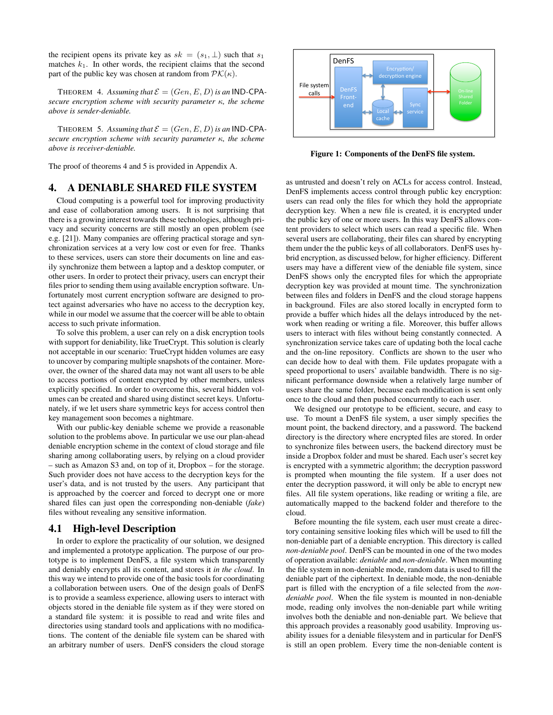the recipient opens its private key as  $sk = (s_1, \perp)$  such that  $s_1$ matches  $k_1$ . In other words, the recipient claims that the second part of the public key was chosen at random from  $\mathcal{PK}(\kappa)$ .

THEOREM 4. Assuming that  $\mathcal{E} = (Gen, E, D)$  is an **IND-CPA***secure encryption scheme with security parameter* κ*, the scheme above is sender-deniable.*

THEOREM 5. Assuming that  $\mathcal{E} = (Gen, E, D)$  is an **IND-CPA***secure encryption scheme with security parameter* κ*, the scheme above is receiver-deniable.*

The proof of theorems 4 and 5 is provided in Appendix A.

#### 4. A DENIABLE SHARED FILE SYSTEM

Cloud computing is a powerful tool for improving productivity and ease of collaboration among users. It is not surprising that there is a growing interest towards these technologies, although privacy and security concerns are still mostly an open problem (see e.g. [21]). Many companies are offering practical storage and synchronization services at a very low cost or even for free. Thanks to these services, users can store their documents on line and easily synchronize them between a laptop and a desktop computer, or other users. In order to protect their privacy, users can encrypt their files prior to sending them using available encryption software. Unfortunately most current encryption software are designed to protect against adversaries who have no access to the decryption key, while in our model we assume that the coercer will be able to obtain access to such private information.

To solve this problem, a user can rely on a disk encryption tools with support for deniability, like TrueCrypt. This solution is clearly not acceptable in our scenario: TrueCrypt hidden volumes are easy to uncover by comparing multiple snapshots of the container. Moreover, the owner of the shared data may not want all users to be able to access portions of content encrypted by other members, unless explicitly specified. In order to overcome this, several hidden volumes can be created and shared using distinct secret keys. Unfortunately, if we let users share symmetric keys for access control then key management soon becomes a nightmare.

With our public-key deniable scheme we provide a reasonable solution to the problems above. In particular we use our plan-ahead deniable encryption scheme in the context of cloud storage and file sharing among collaborating users, by relying on a cloud provider – such as Amazon S3 and, on top of it, Dropbox – for the storage. Such provider does not have access to the decryption keys for the user's data, and is not trusted by the users. Any participant that is approached by the coercer and forced to decrypt one or more shared files can just open the corresponding non-deniable (*fake*) files without revealing any sensitive information.

#### 4.1 High-level Description

In order to explore the practicality of our solution, we designed and implemented a prototype application. The purpose of our prototype is to implement DenFS, a file system which transparently and deniably encrypts all its content, and stores it *in the cloud*. In this way we intend to provide one of the basic tools for coordinating a collaboration between users. One of the design goals of DenFS is to provide a seamless experience, allowing users to interact with objects stored in the deniable file system as if they were stored on a standard file system: it is possible to read and write files and directories using standard tools and applications with no modifications. The content of the deniable file system can be shared with an arbitrary number of users. DenFS considers the cloud storage



Figure 1: Components of the DenFS file system.

as untrusted and doesn't rely on ACLs for access control. Instead, DenFS implements access control through public key encryption: users can read only the files for which they hold the appropriate decryption key. When a new file is created, it is encrypted under the public key of one or more users. In this way DenFS allows content providers to select which users can read a specific file. When several users are collaborating, their files can shared by encrypting them under the the public keys of all collaborators. DenFS uses hybrid encryption, as discussed below, for higher efficiency. Different users may have a different view of the deniable file system, since DenFS shows only the encrypted files for which the appropriate decryption key was provided at mount time. The synchronization between files and folders in DenFS and the cloud storage happens in background. Files are also stored locally in encrypted form to provide a buffer which hides all the delays introduced by the network when reading or writing a file. Moreover, this buffer allows users to interact with files without being constantly connected. A synchronization service takes care of updating both the local cache and the on-line repository. Conflicts are shown to the user who can decide how to deal with them. File updates propagate with a speed proportional to users' available bandwidth. There is no significant performance downside when a relatively large number of users share the same folder, because each modification is sent only once to the cloud and then pushed concurrently to each user.

We designed our prototype to be efficient, secure, and easy to use. To mount a DenFS file system, a user simply specifies the mount point, the backend directory, and a password. The backend directory is the directory where encrypted files are stored. In order to synchronize files between users, the backend directory must be inside a Dropbox folder and must be shared. Each user's secret key is encrypted with a symmetric algorithm; the decryption password is prompted when mounting the file system. If a user does not enter the decryption password, it will only be able to encrypt new files. All file system operations, like reading or writing a file, are automatically mapped to the backend folder and therefore to the cloud.

Before mounting the file system, each user must create a directory containing sensitive looking files which will be used to fill the non-deniable part of a deniable encryption. This directory is called *non-deniable pool*. DenFS can be mounted in one of the two modes of operation available: *deniable* and *non-deniable*. When mounting the file system in non-deniable mode, random data is used to fill the deniable part of the ciphertext. In deniable mode, the non-deniable part is filled with the encryption of a file selected from the *nondeniable pool*. When the file system is mounted in non-deniable mode, reading only involves the non-deniable part while writing involves both the deniable and non-deniable part. We believe that this approach provides a reasonably good usability. Improving usability issues for a deniable filesystem and in particular for DenFS is still an open problem. Every time the non-deniable content is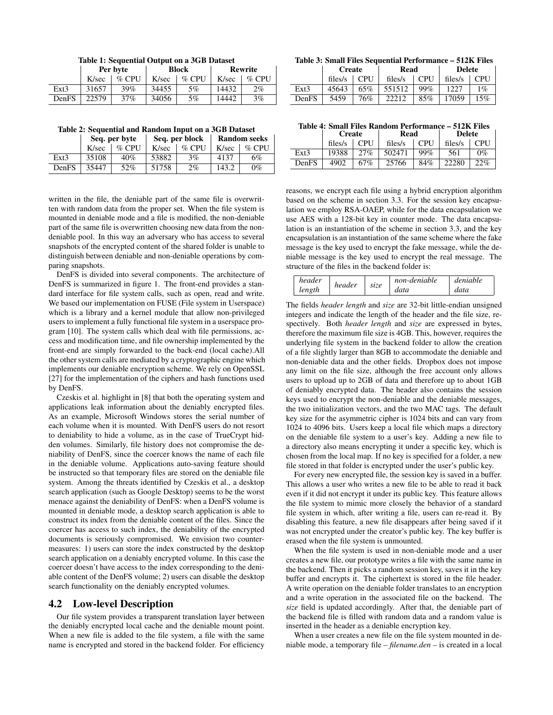|       | Per byte |         | <b>Block</b> |         | Rewrite |          |
|-------|----------|---------|--------------|---------|---------|----------|
|       | K/sec    | $%$ CPU | K/sec        | $%$ CPU | K/sec   | $\%$ CPU |
| Ext3  | 31657    | 39%     | 34455        | 5%      | 14432   | $2\%$    |
| DenFS | 22579    | $37\%$  | 34056        | 5%      | 14442   | 3%       |

Table 1: Sequential Output on a 3GB Dataset

Table 2: Sequential and Random Input on a 3GB Dataset

|       | Seq. per byte |         | Seq. per block |         | <b>Random seeks</b> |         |
|-------|---------------|---------|----------------|---------|---------------------|---------|
|       | K/sec         | $%$ CPU | K/sec          | $%$ CPU | K/sec               | $%$ CPU |
| Ext3  | 35108         | 40%     | 53882          | 3%      | 4137                | 6%      |
| DenFS | 35447         | 52%     | 51758          | $2\%$   | 143.2               | $0\%$   |

written in the file, the deniable part of the same file is overwritten with random data from the proper set. When the file system is mounted in deniable mode and a file is modified, the non-deniable part of the same file is overwritten choosing new data from the nondeniable pool. In this way an adversary who has access to several snapshots of the encrypted content of the shared folder is unable to distinguish between deniable and non-deniable operations by comparing snapshots.

DenFS is divided into several components. The architecture of DenFS is summarized in figure 1. The front-end provides a standard interface for file system calls, such as open, read and write. We based our implementation on FUSE (File system in Userspace) which is a library and a kernel module that allow non-privileged users to implement a fully functional file system in a userspace program [10]. The system calls which deal with file permissions, access and modification time, and file ownership implemented by the front-end are simply forwarded to the back-end (local cache).All the other system calls are mediated by a cryptographic engine which implements our deniable encryption scheme. We rely on OpenSSL [27] for the implementation of the ciphers and hash functions used by DenFS.

Czeskis et al. highlight in [8] that both the operating system and applications leak information about the deniably encrypted files. As an example, Microsoft Windows stores the serial number of each volume when it is mounted. With DenFS users do not resort to deniability to hide a volume, as in the case of TrueCrypt hidden volumes. Similarly, file history does not compromise the deniability of DenFS, since the coercer knows the name of each file in the deniable volume. Applications auto-saving feature should be instructed so that temporary files are stored on the deniable file system. Among the threats identified by Czeskis et al., a desktop search application (such as Google Desktop) seems to be the worst menace against the deniability of DenFS: when a DenFS volume is mounted in deniable mode, a desktop search application is able to construct its index from the deniable content of the files. Since the coercer has access to such index, the deniability of the encrypted documents is seriously compromised. We envision two countermeasures: 1) users can store the index constructed by the desktop search application on a deniably encrypted volume. In this case the coercer doesn't have access to the index corresponding to the deniable content of the DenFS volume; 2) users can disable the desktop search functionality on the deniably encrypted volumes.

## 4.2 Low-level Description

Our file system provides a transparent translation layer between the deniably encrypted local cache and the deniable mount point. When a new file is added to the file system, a file with the same name is encrypted and stored in the backend folder. For efficiency

Table 3: Small Files Sequential Performance – 512K Files

|       | <b>Create</b> |            | Read    |            | <b>Delete</b> |            |
|-------|---------------|------------|---------|------------|---------------|------------|
|       | files/s       | <b>CPU</b> | files/s | <b>CPU</b> | files/s       | <b>CPU</b> |
| Ext3  | 45643         | 65%        | 551512  | 99%        | 1227          | $1\%$      |
| DenFS | 5459          | 76%        |         | 85%        | 17059         | 15%        |

Table 4: Small Files Random Performance – 512K Files

|       | .<br><b>Create</b> |     | oman i no ivanjoni i crivinance<br>Read |     | 0121111100<br><b>Delete</b> |            |
|-------|--------------------|-----|-----------------------------------------|-----|-----------------------------|------------|
|       | files/s            | CPU | files/s                                 | CPU | files/s                     | <b>CPU</b> |
| Ext3  | 19388              | 27% | 502471                                  | 99% | 561                         | $0\%$      |
| DenFS | 4902               | 67% | 25766                                   | 84% |                             | 22%        |

reasons, we encrypt each file using a hybrid encryption algorithm based on the scheme in section 3.3. For the session key encapsulation we employ RSA-OAEP, while for the data encapsulation we use AES with a 128-bit key in counter mode. The data encapsulation is an instantiation of the scheme in section 3.3, and the key encapsulation is an instantiation of the same scheme where the fake message is the key used to encrypt the fake message, while the deniable message is the key used to encrypt the real message. The structure of the files in the backend folder is:

| header<br>header<br>length | size | non-deniable<br>data | deniable<br>data |
|----------------------------|------|----------------------|------------------|
|----------------------------|------|----------------------|------------------|

The fields *header length* and *size* are 32-bit little-endian unsigned integers and indicate the length of the header and the file size, respectively. Both *header length* and *size* are expressed in bytes, therefore the maximum file size is 4GB. This, however, requires the underlying file system in the backend folder to allow the creation of a file slightly larger than 8GB to accommodate the deniable and non-deniable data and the other fields. Dropbox does not impose any limit on the file size, although the free account only allows users to upload up to 2GB of data and therefore up to about 1GB of deniably encrypted data. The header also contains the session keys used to encrypt the non-deniable and the deniable messages, the two initialization vectors, and the two MAC tags. The default key size for the asymmetric cipher is 1024 bits and can vary from 1024 to 4096 bits. Users keep a local file which maps a directory on the deniable file system to a user's key. Adding a new file to a directory also means encrypting it under a specific key, which is chosen from the local map. If no key is specified for a folder, a new file stored in that folder is encrypted under the user's public key.

For every new encrypted file, the session key is saved in a buffer. This allows a user who writes a new file to be able to read it back even if it did not encrypt it under its public key. This feature allows the file system to mimic more closely the behavior of a standard file system in which, after writing a file, users can re-read it. By disabling this feature, a new file disappears after being saved if it was not encrypted under the creator's public key. The key buffer is erased when the file system is unmounted.

When the file system is used in non-deniable mode and a user creates a new file, our prototype writes a file with the same name in the backend. Then it picks a random session key, saves it in the key buffer and encrypts it. The ciphertext is stored in the file header. A write operation on the deniable folder translates to an encryption and a write operation in the associated file on the backend. The *size* field is updated accordingly. After that, the deniable part of the backend file is filled with random data and a random value is inserted in the header as a deniable encryption key.

When a user creates a new file on the file system mounted in deniable mode, a temporary file – *filename.den* – is created in a local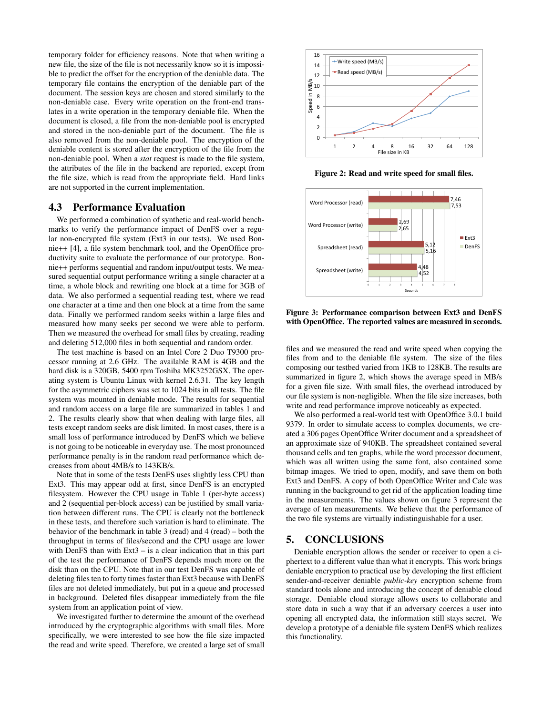temporary folder for efficiency reasons. Note that when writing a new file, the size of the file is not necessarily know so it is impossible to predict the offset for the encryption of the deniable data. The temporary file contains the encryption of the deniable part of the document. The session keys are chosen and stored similarly to the non-deniable case. Every write operation on the front-end translates in a write operation in the temporary deniable file. When the document is closed, a file from the non-deniable pool is encrypted and stored in the non-deniable part of the document. The file is also removed from the non-deniable pool. The encryption of the deniable content is stored after the encryption of the file from the non-deniable pool. When a *stat* request is made to the file system, the attributes of the file in the backend are reported, except from the file size, which is read from the appropriate field. Hard links are not supported in the current implementation.

#### 4.3 Performance Evaluation

We performed a combination of synthetic and real-world benchmarks to verify the performance impact of DenFS over a regular non-encrypted file system (Ext3 in our tests). We used Bonnie++ [4], a file system benchmark tool, and the OpenOffice productivity suite to evaluate the performance of our prototype. Bonnie++ performs sequential and random input/output tests. We measured sequential output performance writing a single character at a time, a whole block and rewriting one block at a time for 3GB of data. We also performed a sequential reading test, where we read one character at a time and then one block at a time from the same data. Finally we performed random seeks within a large files and measured how many seeks per second we were able to perform. Then we measured the overhead for small files by creating, reading and deleting 512,000 files in both sequential and random order.

The test machine is based on an Intel Core 2 Duo T9300 processor running at 2.6 GHz. The available RAM is 4GB and the hard disk is a 320GB, 5400 rpm Toshiba MK3252GSX. The operating system is Ubuntu Linux with kernel 2.6.31. The key length for the asymmetric ciphers was set to 1024 bits in all tests. The file system was mounted in deniable mode. The results for sequential and random access on a large file are summarized in tables 1 and 2. The results clearly show that when dealing with large files, all tests except random seeks are disk limited. In most cases, there is a small loss of performance introduced by DenFS which we believe is not going to be noticeable in everyday use. The most pronounced performance penalty is in the random read performance which decreases from about 4MB/s to 143KB/s.

Note that in some of the tests DenFS uses slightly less CPU than Ext3. This may appear odd at first, since DenFS is an encrypted filesystem. However the CPU usage in Table 1 (per-byte access) and 2 (sequential per-block access) can be justified by small variation between different runs. The CPU is clearly not the bottleneck in these tests, and therefore such variation is hard to eliminate. The behavior of the benchmark in table 3 (read) and 4 (read) – both the throughput in terms of files/second and the CPU usage are lower with DenFS than with  $Ext3 - is a clear indication that in this part$ of the test the performance of DenFS depends much more on the disk than on the CPU. Note that in our test DenFS was capable of deleting files ten to forty times faster than Ext3 because with DenFS files are not deleted immediately, but put in a queue and processed in background. Deleted files disappear immediately from the file system from an application point of view.

We investigated further to determine the amount of the overhead introduced by the cryptographic algorithms with small files. More specifically, we were interested to see how the file size impacted the read and write speed. Therefore, we created a large set of small



Figure 2: Read and write speed for small files.



Figure 3: Performance comparison between Ext3 and DenFS with OpenOffice. The reported values are measured in seconds.

files and we measured the read and write speed when copying the files from and to the deniable file system. The size of the files composing our testbed varied from 1KB to 128KB. The results are summarized in figure 2, which shows the average speed in MB/s for a given file size. With small files, the overhead introduced by our file system is non-negligible. When the file size increases, both write and read performance improve noticeably as expected.

We also performed a real-world test with OpenOffice 3.0.1 build 9379. In order to simulate access to complex documents, we created a 306 pages OpenOffice Writer document and a spreadsheet of an approximate size of 940KB. The spreadsheet contained several thousand cells and ten graphs, while the word processor document, which was all written using the same font, also contained some bitmap images. We tried to open, modify, and save them on both Ext3 and DenFS. A copy of both OpenOffice Writer and Calc was running in the background to get rid of the application loading time in the measurements. The values shown on figure 3 represent the average of ten measurements. We believe that the performance of the two file systems are virtually indistinguishable for a user.

## 5. CONCLUSIONS

Deniable encryption allows the sender or receiver to open a ciphertext to a different value than what it encrypts. This work brings deniable encryption to practical use by developing the first efficient sender-and-receiver deniable *public-key* encryption scheme from standard tools alone and introducing the concept of deniable cloud storage. Deniable cloud storage allows users to collaborate and store data in such a way that if an adversary coerces a user into opening all encrypted data, the information still stays secret. We develop a prototype of a deniable file system DenFS which realizes this functionality.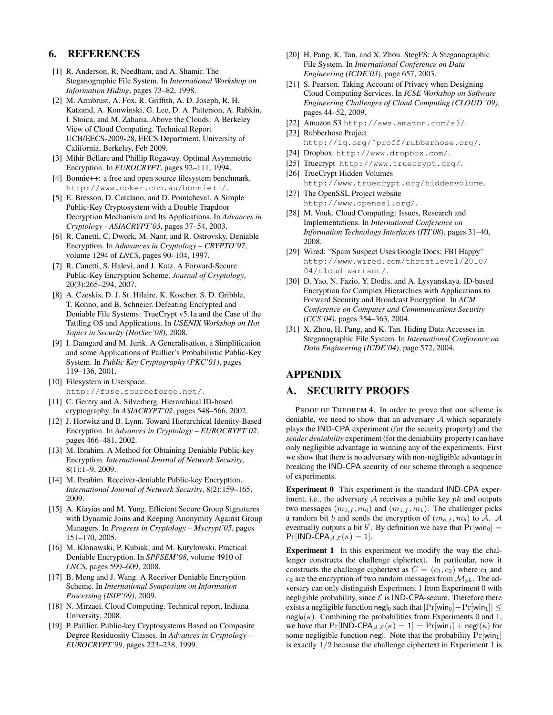## 6. REFERENCES

- [1] R. Anderson, R. Needham, and A. Shamir. The Steganographic File System. In *International Workshop on Information Hiding*, pages 73–82, 1998.
- [2] M. Armbrust, A. Fox, R. Griffith, A. D. Joseph, R. H. Katzand, A. Konwinski, G. Lee, D. A. Patterson, A. Rabkin, I. Stoica, and M. Zaharia. Above the Clouds: A Berkeley View of Cloud Computing. Technical Report UCB/EECS-2009-28, EECS Department, University of California, Berkeley, Feb 2009.
- [3] Mihir Bellare and Phillip Rogaway. Optimal Asymmetric Encryption. In *EUROCRYPT*, pages 92–111, 1994.
- [4] Bonnie++: a free and open source filesystem benchmark. http://www.coker.com.au/bonnie++/.
- [5] E. Bresson, D. Catalano, and D. Pointcheval. A Simple Public-Key Cryptosystem with a Double Trapdoor Decryption Mechanism and Its Applications. In *Advances in Cryptology - ASIACRYPT'03*, pages 37–54, 2003.
- [6] R. Canetti, C. Dwork, M. Naor, and R. Ostrovsky. Deniable Encryption. In *Adnvances in Cryptology – CRYPTO'97*, volume 1294 of *LNCS*, pages 90–104, 1997.
- [7] R. Canetti, S. Halevi, and J. Katz. A Forward-Secure Public-Key Encryption Scheme. *Journal of Cryptology*, 20(3):265–294, 2007.
- [8] A. Czeskis, D. J. St. Hilaire, K. Koscher, S. D. Gribble, T. Kohno, and B. Schneier. Defeating Encrypted and Deniable File Systems: TrueCrypt v5.1a and the Case of the Tattling OS and Applications. In *USENIX Workshop on Hot Topics in Security (HotSec'08)*, 2008.
- [9] I. Damgard and M. Jurik. A Generalisation, a Simplification and some Applications of Paillier's Probabilistic Public-Key System. In *Public Key Cryptography (PKC'01)*, pages 119–136, 2001.
- [10] Filesystem in Userspace. http://fuse.sourceforge.net/.
- [11] C. Gentry and A. Silverberg. Hierarchical ID-based cryptography. In *ASIACRYPT'02*, pages 548–566, 2002.
- [12] J. Horwitz and B. Lynn. Toward Hierarchical Identity-Based Encryption. In *Advances in Cryptology – EUROCRYPT'02*, pages 466–481, 2002.
- [13] M. Ibrahim. A Method for Obtaining Deniable Public-key Encryption. *International Journal of Network Security*, 8(1):1–9, 2009.
- [14] M. Ibrahim. Receiver-deniable Public-key Encryption. *International Journal of Network Security*, 8(2):159–165, 2009.
- [15] A. Kiayias and M. Yung. Efficient Secure Group Signatures with Dynamic Joins and Keeping Anonymity Against Group Managers. In *Progress in Cryptology – Mycrypt'05*, pages 151–170, 2005.
- [16] M. Klonowski, P. Kubiak, and M. Kutylowski. Practical Deniable Encryption. In *SPFSEM'08*, volume 4910 of *LNCS*, pages 599–609, 2008.
- [17] B. Meng and J. Wang. A Receiver Deniable Encryption Scheme. In *International Symposium on Information Processing (ISIP'09)*, 2009.
- [18] N. Mirzaei. Cloud Computing. Technical report, Indiana University, 2008.
- [19] P. Paillier. Public-key Cryptosystems Based on Composite Degree Residuosity Classes. In *Advances in Cryptology – EUROCRYPT'99*, pages 223–238, 1999.
- [20] H. Pang, K. Tan, and X. Zhou. StegFS: A Steganographic File System. In *International Conference on Data Engineering (ICDE'03)*, page 657, 2003.
- [21] S. Pearson. Taking Account of Privacy when Designing Cloud Computing Services. In *ICSE Workshop on Software Engineering Challenges of Cloud Computing (CLOUD '09)*, pages 44–52, 2009.
- [22] Amazon S3 http://aws.amazon.com/s3/. [23] Rubberhose Project
	- http://iq.org/˜proff/rubberhose.org/.
- [24] Dropbox http://www.dropbox.com/.
- [25] Truecrypt http://www.truecrypt.org/.
- [26] TrueCrypt Hidden Volumes http://www.truecrypt.org/hiddenvolume.
- [27] The OpenSSL Project website http://www.openssl.org/.
- [28] M. Vouk. Cloud Computing: Issues, Research and Implementations. In *International Conference on Information Technology Interfaces (ITI'08)*, pages 31–40, 2008.
- [29] Wired: "Spam Suspect Uses Google Docs; FBI Happy" http://www.wired.com/threatlevel/2010/ 04/cloud-warrant/.
- [30] D. Yao, N. Fazio, Y. Dodis, and A. Lysyanskaya. ID-based Encryption for Complex Hierarchies with Applications to Forward Security and Broadcast Encryption. In *ACM Conference on Computer and Communications Security (CCS'04)*, pages 354–363, 2004.
- [31] X. Zhou, H. Pang, and K. Tan. Hiding Data Accesses in Steganographic File System. In *International Conference on Data Engineering (ICDE'04)*, page 572, 2004.

# APPENDIX

## A. SECURITY PROOFS

PROOF OF THEOREM 4. In order to prove that our scheme is deniable, we need to show that an adversary  $A$  which separately plays the IND-CPA experiment (for the security property) and the *sender deniability* experiment (for the deniability property) can have only negligible advantage in winning any of the experiments. First we show that there is no adversary with non-negligible advantage in breaking the IND-CPA security of our scheme through a sequence of experiments.

Experiment 0 This experiment is the standard IND-CPA experiment, i.e., the adversary  $A$  receives a public key  $pk$  and outputs two messages  $(m_{0,f}, m_0)$  and  $(m_{1,f}, m_1)$ . The challenger picks a random bit b and sends the encryption of  $(m_{b,f}, m_b)$  to A. A eventually outputs a bit b'. By definition we have that  $Pr[\text{win}_0] =$  $Pr[IND-CPA_{A,\mathcal{E}}(\kappa)=1].$ 

Experiment 1 In this experiment we modify the way the challenger constructs the challenge ciphertext. In particular, now it constructs the challenge ciphertext as  $C = (c_1, c_2)$  where  $c_1$  and  $c_2$  are the encryption of two random messages from  $\mathcal{M}_{pk}$ . The adversary can only distinguish Experiment 1 from Experiment 0 with negligible probability, since  $\mathcal E$  is IND-CPA-secure. Therefore there exists a negligible function negl<sub>0</sub> such that  $|Pr[\text{win}_0]-Pr[\text{win}_1]| \le$  $\operatorname{negl}_0(\kappa)$ . Combining the probabilities from Experiments 0 and 1, we have that  $Pr[IND-CPA_{A,\mathcal{E}}(\kappa) = 1] = Pr[win_1] + neg(\kappa)$  for some negligible function negl. Note that the probability  $Pr[\text{win}_1]$ is exactly 1/2 because the challenge ciphertext in Experiment 1 is